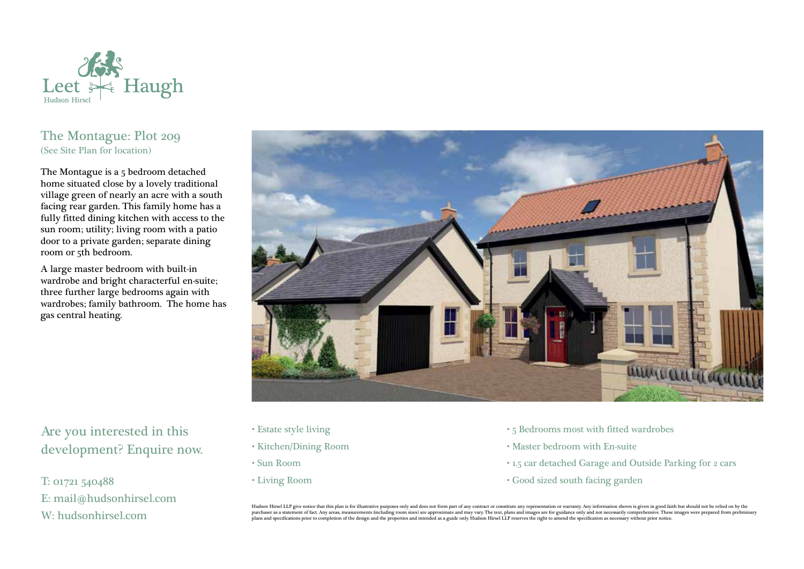

## The Montague: Plot 209 (See Site Plan for location)

The Montague is a 5 bedroom detached home situated close by a lovely traditional village green of nearly an acre with a south facing rear garden. This family home has a fully fitted dining kitchen with access to the sun room; utility; living room with a patio door to a private garden; separate dining room or 5th bedroom.

A large master bedroom with built-in wardrobe and bright characterful en-suite; three further large bedrooms again with wardrobes; family bathroom. The home has gas central heating.



## Are you interested in this development? Enquire now.

T: 01721 540488 E: mail@hudsonhirsel.com W: hudsonhirsel.com

- Estate style living
- Kitchen/Dining Room
- Sun Room
- Living Room
- 5 Bedrooms most with fitted wardrobes
- Master bedroom with En-suite
- 1.5 car detached Garage and Outside Parking for 2 cars
- Good sized south facing garden

Hudson Hirsel LLP give notice that this plan is for illustrative purposes only and does not form part of any contract or constitute any representation or warranty. Any information shown is given in good faith but should no purchaser as a statement of fact. Any areas, measurements (including room sizes) are approximate and may vary. The text, plans and images are for guidance only and not necessarily comprehensive. These images were prepared